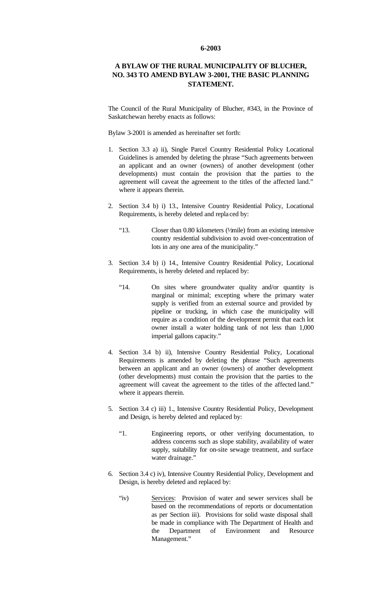## **6-2003**

## **A BYLAW OF THE RURAL MUNICIPALITY OF BLUCHER, NO. 343 TO AMEND BYLAW 3-2001, THE BASIC PLANNING STATEMENT.**

The Council of the Rural Municipality of Blucher, #343, in the Province of Saskatchewan hereby enacts as follows:

Bylaw 3-2001 is amended as hereinafter set forth:

- 1. Section 3.3 a) ii), Single Parcel Country Residential Policy Locational Guidelines is amended by deleting the phrase "Such agreements between an applicant and an owner (owners) of another development (other developments) must contain the provision that the parties to the agreement will caveat the agreement to the titles of the affected land." where it appears therein.
- 2. Section 3.4 b) i) 13., Intensive Country Residential Policy, Locational Requirements, is hereby deleted and repla ced by:
	- "13. Closer than 0.80 kilometers ( $\frac{1}{\pi}$ ) from an existing intensive country residential subdivision to avoid over-concentration of lots in any one area of the municipality."
- 3. Section 3.4 b) i) 14., Intensive Country Residential Policy, Locational Requirements, is hereby deleted and replaced by:
	- "14. On sites where groundwater quality and/or quantity is marginal or minimal; excepting where the primary water supply is verified from an external source and provided by pipeline or trucking, in which case the municipality will require as a condition of the development permit that each lot owner install a water holding tank of not less than 1,000 imperial gallons capacity."
- 4. Section 3.4 b) ii), Intensive Country Residential Policy, Locational Requirements is amended by deleting the phrase "Such agreements between an applicant and an owner (owners) of another development (other developments) must contain the provision that the parties to the agreement will caveat the agreement to the titles of the affected land." where it appears therein.
- 5. Section 3.4 c) iii) 1., Intensive Country Residential Policy, Development and Design, is hereby deleted and replaced by:
	- "1. Engineering reports, or other verifying documentation, to address concerns such as slope stability, availability of water supply, suitability for on-site sewage treatment, and surface water drainage."
- 6. Section 3.4 c) iv), Intensive Country Residential Policy, Development and Design, is hereby deleted and replaced by:
	- "iv) Services: Provision of water and sewer services shall be based on the recommendations of reports or documentation as per Section iii). Provisions for solid waste disposal shall be made in compliance with The Department of Health and the Department of Environment and Resource Management."